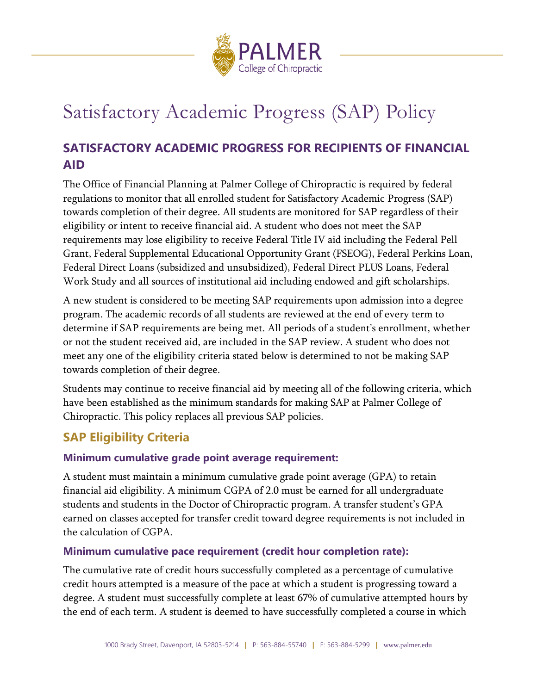

# Satisfactory Academic Progress (SAP) Policy

# **SATISFACTORY ACADEMIC PROGRESS FOR RECIPIENTS OF FINANCIAL AID**

The Office of Financial Planning at Palmer College of Chiropractic is required by federal regulations to monitor that all enrolled student for Satisfactory Academic Progress (SAP) towards completion of their degree. All students are monitored for SAP regardless of their eligibility or intent to receive financial aid. A student who does not meet the SAP requirements may lose eligibility to receive Federal Title IV aid including the Federal Pell Grant, Federal Supplemental Educational Opportunity Grant (FSEOG), Federal Perkins Loan, Federal Direct Loans (subsidized and unsubsidized), Federal Direct PLUS Loans, Federal Work Study and all sources of institutional aid including endowed and gift scholarships.

A new student is considered to be meeting SAP requirements upon admission into a degree program. The academic records of all students are reviewed at the end of every term to determine if SAP requirements are being met. All periods of a student's enrollment, whether or not the student received aid, are included in the SAP review. A student who does not meet any one of the eligibility criteria stated below is determined to not be making SAP towards completion of their degree.

Students may continue to receive financial aid by meeting all of the following criteria, which have been established as the minimum standards for making SAP at Palmer College of Chiropractic. This policy replaces all previous SAP policies.

# **SAP Eligibility Criteria**

## **Minimum cumulative grade point average requirement:**

A student must maintain a minimum cumulative grade point average (GPA) to retain financial aid eligibility. A minimum CGPA of 2.0 must be earned for all undergraduate students and students in the Doctor of Chiropractic program. A transfer student's GPA earned on classes accepted for transfer credit toward degree requirements is not included in the calculation of CGPA.

## **Minimum cumulative pace requirement (credit hour completion rate):**

The cumulative rate of credit hours successfully completed as a percentage of cumulative credit hours attempted is a measure of the pace at which a student is progressing toward a degree. A student must successfully complete at least 67% of cumulative attempted hours by the end of each term. A student is deemed to have successfully completed a course in which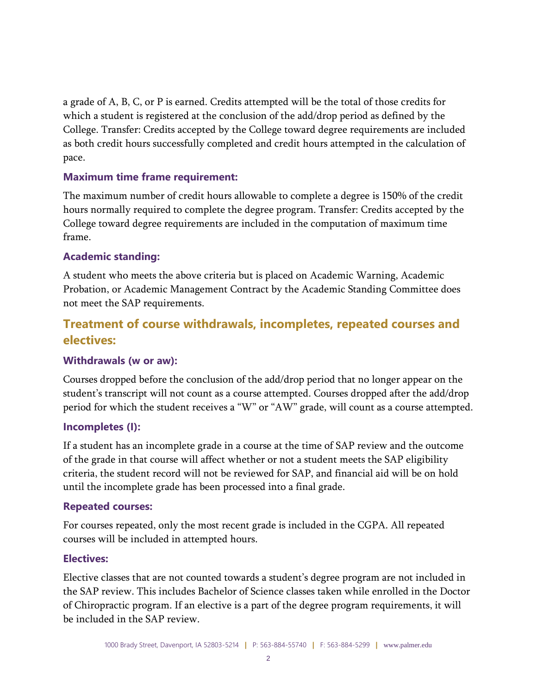a grade of A, B, C, or P is earned. Credits attempted will be the total of those credits for which a student is registered at the conclusion of the add/drop period as defined by the College. Transfer: Credits accepted by the College toward degree requirements are included as both credit hours successfully completed and credit hours attempted in the calculation of pace.

### **Maximum time frame requirement:**

The maximum number of credit hours allowable to complete a degree is 150% of the credit hours normally required to complete the degree program. Transfer: Credits accepted by the College toward degree requirements are included in the computation of maximum time frame.

### **Academic standing:**

A student who meets the above criteria but is placed on Academic Warning, Academic Probation, or Academic Management Contract by the Academic Standing Committee does not meet the SAP requirements.

# **Treatment of course withdrawals, incompletes, repeated courses and electives:**

#### **Withdrawals (w or aw):**

Courses dropped before the conclusion of the add/drop period that no longer appear on the student's transcript will not count as a course attempted. Courses dropped after the add/drop period for which the student receives a "W" or "AW" grade, will count as a course attempted.

#### **Incompletes (I):**

If a student has an incomplete grade in a course at the time of SAP review and the outcome of the grade in that course will affect whether or not a student meets the SAP eligibility criteria, the student record will not be reviewed for SAP, and financial aid will be on hold until the incomplete grade has been processed into a final grade.

#### **Repeated courses:**

For courses repeated, only the most recent grade is included in the CGPA. All repeated courses will be included in attempted hours.

#### **Electives:**

Elective classes that are not counted towards a student's degree program are not included in the SAP review. This includes Bachelor of Science classes taken while enrolled in the Doctor of Chiropractic program. If an elective is a part of the degree program requirements, it will be included in the SAP review.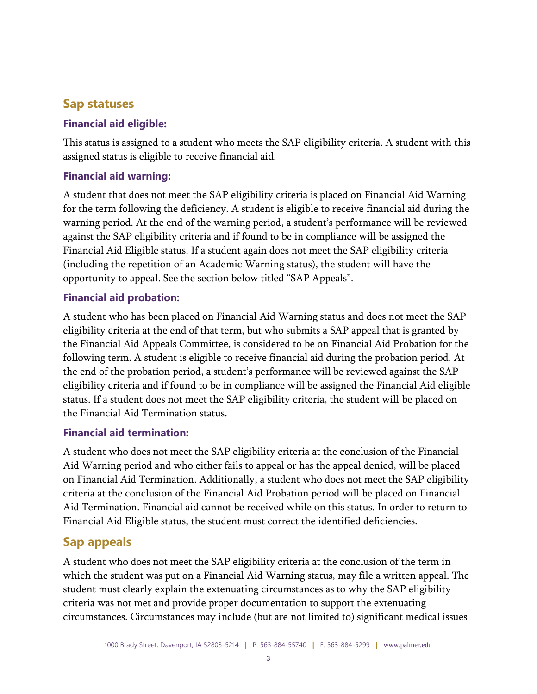# **Sap statuses**

## **Financial aid eligible:**

This status is assigned to a student who meets the SAP eligibility criteria. A student with this assigned status is eligible to receive financial aid.

## **Financial aid warning:**

A student that does not meet the SAP eligibility criteria is placed on Financial Aid Warning for the term following the deficiency. A student is eligible to receive financial aid during the warning period. At the end of the warning period, a student's performance will be reviewed against the SAP eligibility criteria and if found to be in compliance will be assigned the Financial Aid Eligible status. If a student again does not meet the SAP eligibility criteria (including the repetition of an Academic Warning status), the student will have the opportunity to appeal. See the section below titled "SAP Appeals".

## **Financial aid probation:**

A student who has been placed on Financial Aid Warning status and does not meet the SAP eligibility criteria at the end of that term, but who submits a SAP appeal that is granted by the Financial Aid Appeals Committee, is considered to be on Financial Aid Probation for the following term. A student is eligible to receive financial aid during the probation period. At the end of the probation period, a student's performance will be reviewed against the SAP eligibility criteria and if found to be in compliance will be assigned the Financial Aid eligible status. If a student does not meet the SAP eligibility criteria, the student will be placed on the Financial Aid Termination status.

## **Financial aid termination:**

A student who does not meet the SAP eligibility criteria at the conclusion of the Financial Aid Warning period and who either fails to appeal or has the appeal denied, will be placed on Financial Aid Termination. Additionally, a student who does not meet the SAP eligibility criteria at the conclusion of the Financial Aid Probation period will be placed on Financial Aid Termination. Financial aid cannot be received while on this status. In order to return to Financial Aid Eligible status, the student must correct the identified deficiencies.

# **Sap appeals**

A student who does not meet the SAP eligibility criteria at the conclusion of the term in which the student was put on a Financial Aid Warning status, may file a written appeal. The student must clearly explain the extenuating circumstances as to why the SAP eligibility criteria was not met and provide proper documentation to support the extenuating circumstances. Circumstances may include (but are not limited to) significant medical issues